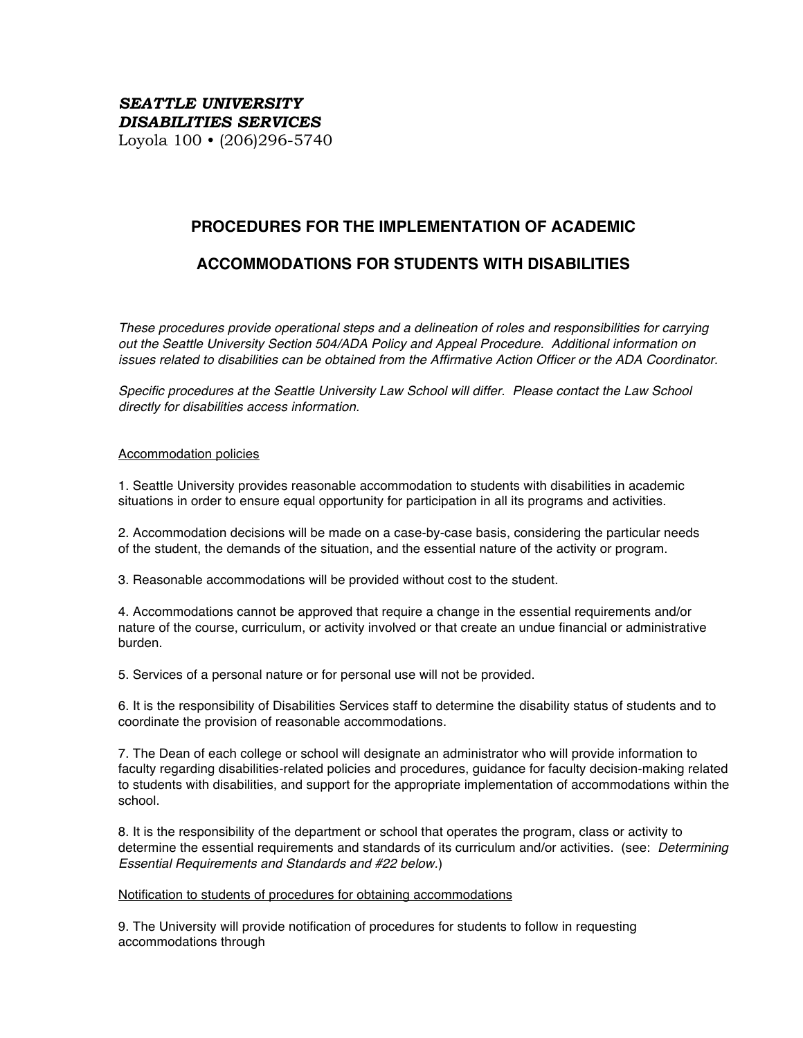## *SEATTLE UNIVERSITY DISABILITIES SERVICES* Loyola 100 • (206)296-5740

# **PROCEDURES FOR THE IMPLEMENTATION OF ACADEMIC**

# **ACCOMMODATIONS FOR STUDENTS WITH DISABILITIES**

*These procedures provide operational steps and a delineation of roles and responsibilities for carrying out the Seattle University Section 504/ADA Policy and Appeal Procedure. Additional information on issues related to disabilities can be obtained from the Affirmative Action Officer or the ADA Coordinator.*

*Specific procedures at the Seattle University Law School will differ. Please contact the Law School directly for disabilities access information.*

### Accommodation policies

1. Seattle University provides reasonable accommodation to students with disabilities in academic situations in order to ensure equal opportunity for participation in all its programs and activities.

2. Accommodation decisions will be made on a case-by-case basis, considering the particular needs of the student, the demands of the situation, and the essential nature of the activity or program.

3. Reasonable accommodations will be provided without cost to the student.

4. Accommodations cannot be approved that require a change in the essential requirements and/or nature of the course, curriculum, or activity involved or that create an undue financial or administrative burden.

5. Services of a personal nature or for personal use will not be provided.

6. It is the responsibility of Disabilities Services staff to determine the disability status of students and to coordinate the provision of reasonable accommodations.

7. The Dean of each college or school will designate an administrator who will provide information to faculty regarding disabilities-related policies and procedures, guidance for faculty decision-making related to students with disabilities, and support for the appropriate implementation of accommodations within the school.

8. It is the responsibility of the department or school that operates the program, class or activity to determine the essential requirements and standards of its curriculum and/or activities. (see: *Determining Essential Requirements and Standards and #22 below.*)

#### Notification to students of procedures for obtaining accommodations

9. The University will provide notification of procedures for students to follow in requesting accommodations through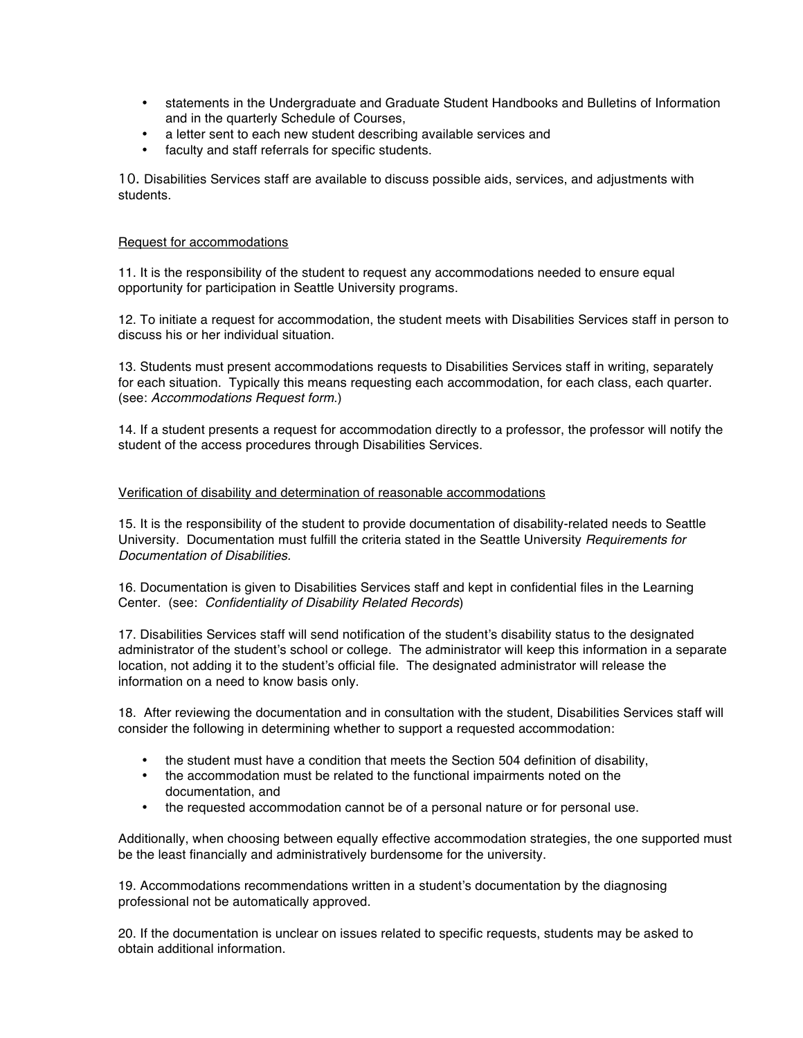- statements in the Undergraduate and Graduate Student Handbooks and Bulletins of Information and in the quarterly Schedule of Courses,
- a letter sent to each new student describing available services and
- faculty and staff referrals for specific students.

10. Disabilities Services staff are available to discuss possible aids, services, and adjustments with students.

## Request for accommodations

11. It is the responsibility of the student to request any accommodations needed to ensure equal opportunity for participation in Seattle University programs.

12. To initiate a request for accommodation, the student meets with Disabilities Services staff in person to discuss his or her individual situation.

13. Students must present accommodations requests to Disabilities Services staff in writing, separately for each situation. Typically this means requesting each accommodation, for each class, each quarter. (see: *Accommodations Request form*.)

14. If a student presents a request for accommodation directly to a professor, the professor will notify the student of the access procedures through Disabilities Services.

## Verification of disability and determination of reasonable accommodations

15. It is the responsibility of the student to provide documentation of disability-related needs to Seattle University. Documentation must fulfill the criteria stated in the Seattle University *Requirements for Documentation of Disabilities.*

16. Documentation is given to Disabilities Services staff and kept in confidential files in the Learning Center. (see: *Confidentiality of Disability Related Records*)

17. Disabilities Services staff will send notification of the student's disability status to the designated administrator of the student's school or college. The administrator will keep this information in a separate location, not adding it to the student's official file. The designated administrator will release the information on a need to know basis only.

18. After reviewing the documentation and in consultation with the student, Disabilities Services staff will consider the following in determining whether to support a requested accommodation:

- the student must have a condition that meets the Section 504 definition of disability,
- the accommodation must be related to the functional impairments noted on the documentation, and
- the requested accommodation cannot be of a personal nature or for personal use.

Additionally, when choosing between equally effective accommodation strategies, the one supported must be the least financially and administratively burdensome for the university.

19. Accommodations recommendations written in a student's documentation by the diagnosing professional not be automatically approved.

20. If the documentation is unclear on issues related to specific requests, students may be asked to obtain additional information.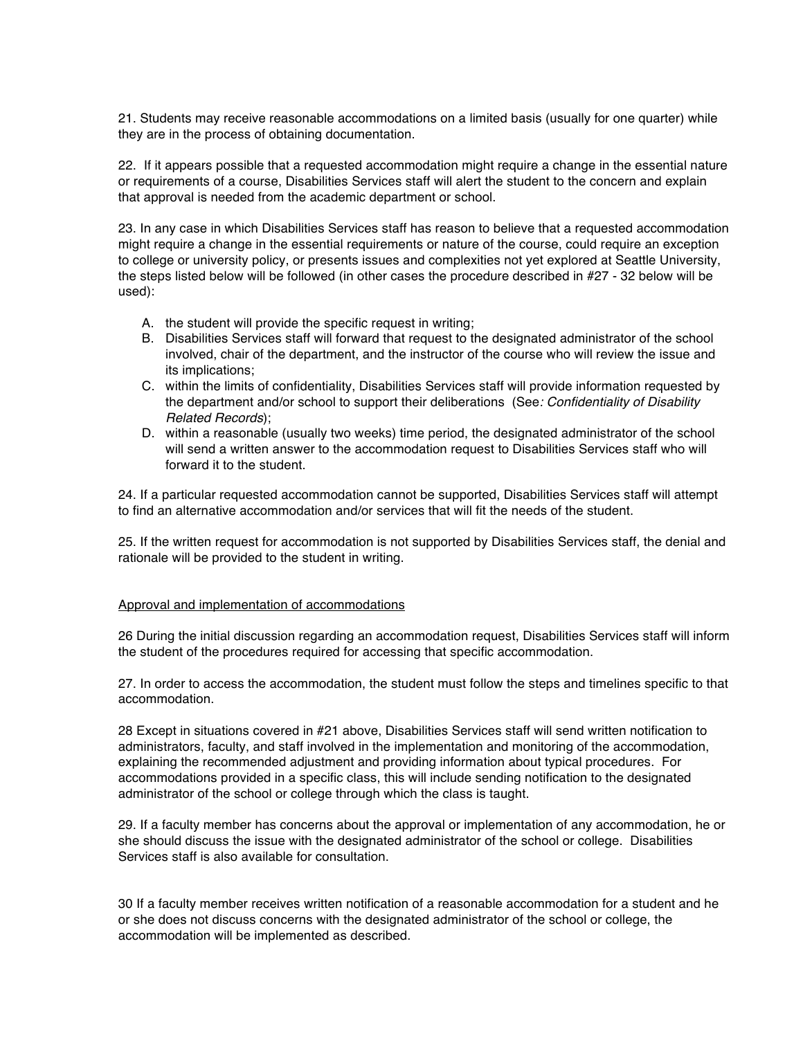21. Students may receive reasonable accommodations on a limited basis (usually for one quarter) while they are in the process of obtaining documentation.

22. If it appears possible that a requested accommodation might require a change in the essential nature or requirements of a course, Disabilities Services staff will alert the student to the concern and explain that approval is needed from the academic department or school.

23. In any case in which Disabilities Services staff has reason to believe that a requested accommodation might require a change in the essential requirements or nature of the course, could require an exception to college or university policy, or presents issues and complexities not yet explored at Seattle University, the steps listed below will be followed (in other cases the procedure described in #27 - 32 below will be used):

- A. the student will provide the specific request in writing;
- B. Disabilities Services staff will forward that request to the designated administrator of the school involved, chair of the department, and the instructor of the course who will review the issue and its implications;
- C. within the limits of confidentiality, Disabilities Services staff will provide information requested by the department and/or school to support their deliberations (See*: Confidentiality of Disability Related Records*);
- D. within a reasonable (usually two weeks) time period, the designated administrator of the school will send a written answer to the accommodation request to Disabilities Services staff who will forward it to the student.

24. If a particular requested accommodation cannot be supported, Disabilities Services staff will attempt to find an alternative accommodation and/or services that will fit the needs of the student.

25. If the written request for accommodation is not supported by Disabilities Services staff, the denial and rationale will be provided to the student in writing.

## Approval and implementation of accommodations

26 During the initial discussion regarding an accommodation request, Disabilities Services staff will inform the student of the procedures required for accessing that specific accommodation.

27. In order to access the accommodation, the student must follow the steps and timelines specific to that accommodation.

28 Except in situations covered in #21 above, Disabilities Services staff will send written notification to administrators, faculty, and staff involved in the implementation and monitoring of the accommodation, explaining the recommended adjustment and providing information about typical procedures. For accommodations provided in a specific class, this will include sending notification to the designated administrator of the school or college through which the class is taught.

29. If a faculty member has concerns about the approval or implementation of any accommodation, he or she should discuss the issue with the designated administrator of the school or college. Disabilities Services staff is also available for consultation.

30 If a faculty member receives written notification of a reasonable accommodation for a student and he or she does not discuss concerns with the designated administrator of the school or college, the accommodation will be implemented as described.